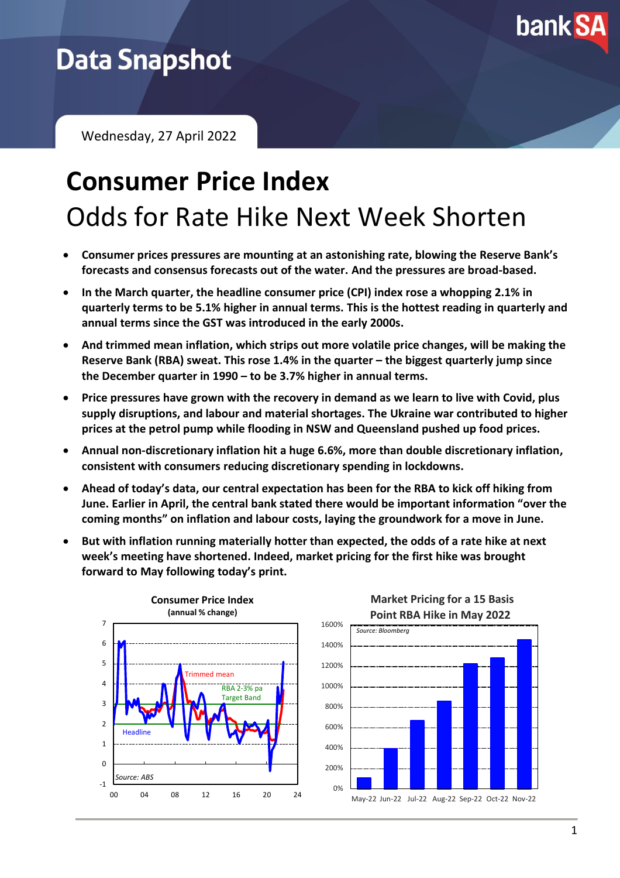

## **Data Snapshot**

Wednesday, 27 April 2022

# **Consumer Price Index** Odds for Rate Hike Next Week Shorten

- **Consumer prices pressures are mounting at an astonishing rate, blowing the Reserve Bank's forecasts and consensus forecasts out of the water. And the pressures are broad-based.**
- **In the March quarter, the headline consumer price (CPI) index rose a whopping 2.1% in quarterly terms to be 5.1% higher in annual terms. This is the hottest reading in quarterly and annual terms since the GST was introduced in the early 2000s.**
- **And trimmed mean inflation, which strips out more volatile price changes, will be making the Reserve Bank (RBA) sweat. This rose 1.4% in the quarter – the biggest quarterly jump since the December quarter in 1990 – to be 3.7% higher in annual terms.**
- **Price pressures have grown with the recovery in demand as we learn to live with Covid, plus supply disruptions, and labour and material shortages. The Ukraine war contributed to higher prices at the petrol pump while flooding in NSW and Queensland pushed up food prices.**
- **Annual non-discretionary inflation hit a huge 6.6%, more than double discretionary inflation, consistent with consumers reducing discretionary spending in lockdowns.**
- **Ahead of today's data, our central expectation has been for the RBA to kick off hiking from June. Earlier in April, the central bank stated there would be important information "over the coming months" on inflation and labour costs, laying the groundwork for a move in June.**
- **But with inflation running materially hotter than expected, the odds of a rate hike at next week's meeting have shortened. Indeed, market pricing for the first hike was brought forward to May following today's print.**

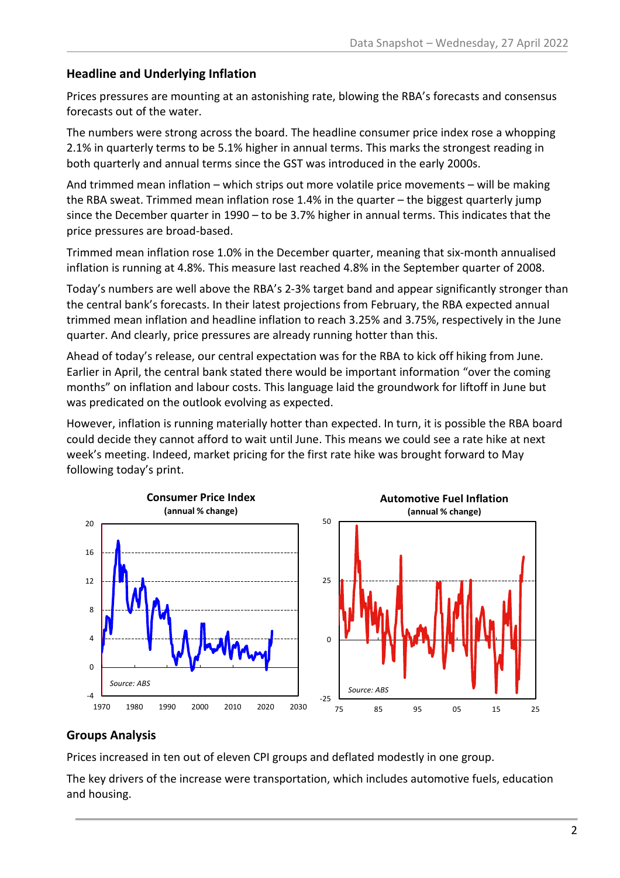#### **Headline and Underlying Inflation**

Prices pressures are mounting at an astonishing rate, blowing the RBA's forecasts and consensus forecasts out of the water.

The numbers were strong across the board. The headline consumer price index rose a whopping 2.1% in quarterly terms to be 5.1% higher in annual terms. This marks the strongest reading in both quarterly and annual terms since the GST was introduced in the early 2000s.

And trimmed mean inflation – which strips out more volatile price movements – will be making the RBA sweat. Trimmed mean inflation rose 1.4% in the quarter – the biggest quarterly jump since the December quarter in 1990 – to be 3.7% higher in annual terms. This indicates that the price pressures are broad-based.

Trimmed mean inflation rose 1.0% in the December quarter, meaning that six-month annualised inflation is running at 4.8%. This measure last reached 4.8% in the September quarter of 2008.

Today's numbers are well above the RBA's 2-3% target band and appear significantly stronger than the central bank's forecasts. In their latest projections from February, the RBA expected annual trimmed mean inflation and headline inflation to reach 3.25% and 3.75%, respectively in the June quarter. And clearly, price pressures are already running hotter than this.

Ahead of today's release, our central expectation was for the RBA to kick off hiking from June. Earlier in April, the central bank stated there would be important information "over the coming months" on inflation and labour costs. This language laid the groundwork for liftoff in June but was predicated on the outlook evolving as expected.

However, inflation is running materially hotter than expected. In turn, it is possible the RBA board could decide they cannot afford to wait until June. This means we could see a rate hike at next week's meeting. Indeed, market pricing for the first rate hike was brought forward to May following today's print.



#### **Groups Analysis**

Prices increased in ten out of eleven CPI groups and deflated modestly in one group.

The key drivers of the increase were transportation, which includes automotive fuels, education and housing.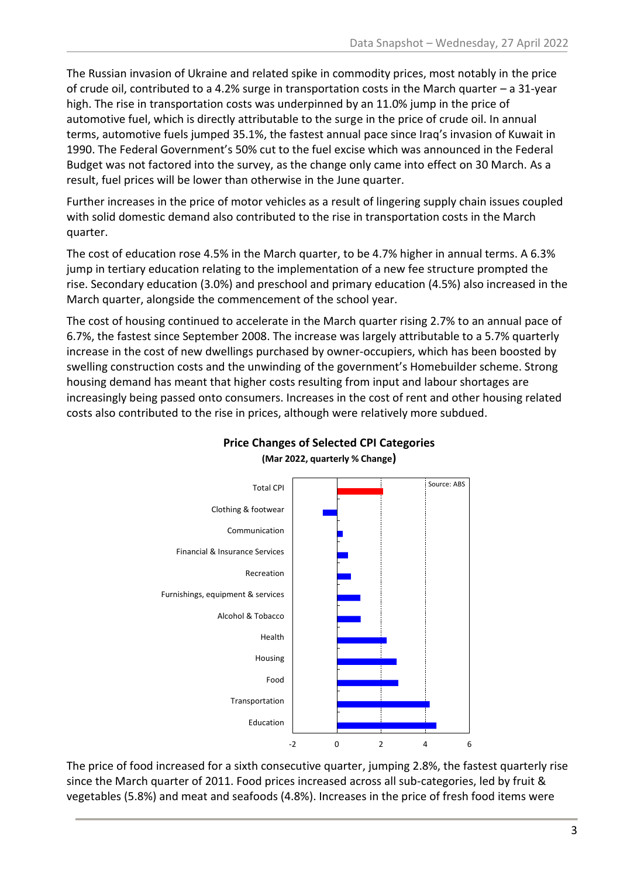The Russian invasion of Ukraine and related spike in commodity prices, most notably in the price of crude oil, contributed to a 4.2% surge in transportation costs in the March quarter – a 31-year high. The rise in transportation costs was underpinned by an 11.0% jump in the price of automotive fuel, which is directly attributable to the surge in the price of crude oil. In annual terms, automotive fuels jumped 35.1%, the fastest annual pace since Iraq's invasion of Kuwait in 1990. The Federal Government's 50% cut to the fuel excise which was announced in the Federal Budget was not factored into the survey, as the change only came into effect on 30 March. As a result, fuel prices will be lower than otherwise in the June quarter.

Further increases in the price of motor vehicles as a result of lingering supply chain issues coupled with solid domestic demand also contributed to the rise in transportation costs in the March quarter.

The cost of education rose 4.5% in the March quarter, to be 4.7% higher in annual terms. A 6.3% jump in tertiary education relating to the implementation of a new fee structure prompted the rise. Secondary education (3.0%) and preschool and primary education (4.5%) also increased in the March quarter, alongside the commencement of the school year.

The cost of housing continued to accelerate in the March quarter rising 2.7% to an annual pace of 6.7%, the fastest since September 2008. The increase was largely attributable to a 5.7% quarterly increase in the cost of new dwellings purchased by owner-occupiers, which has been boosted by swelling construction costs and the unwinding of the government's Homebuilder scheme. Strong housing demand has meant that higher costs resulting from input and labour shortages are increasingly being passed onto consumers. Increases in the cost of rent and other housing related costs also contributed to the rise in prices, although were relatively more subdued.



#### **Price Changes of Selected CPI Categories (Mar 2022, quarterly % Change)**

The price of food increased for a sixth consecutive quarter, jumping 2.8%, the fastest quarterly rise since the March quarter of 2011. Food prices increased across all sub-categories, led by fruit & vegetables (5.8%) and meat and seafoods (4.8%). Increases in the price of fresh food items were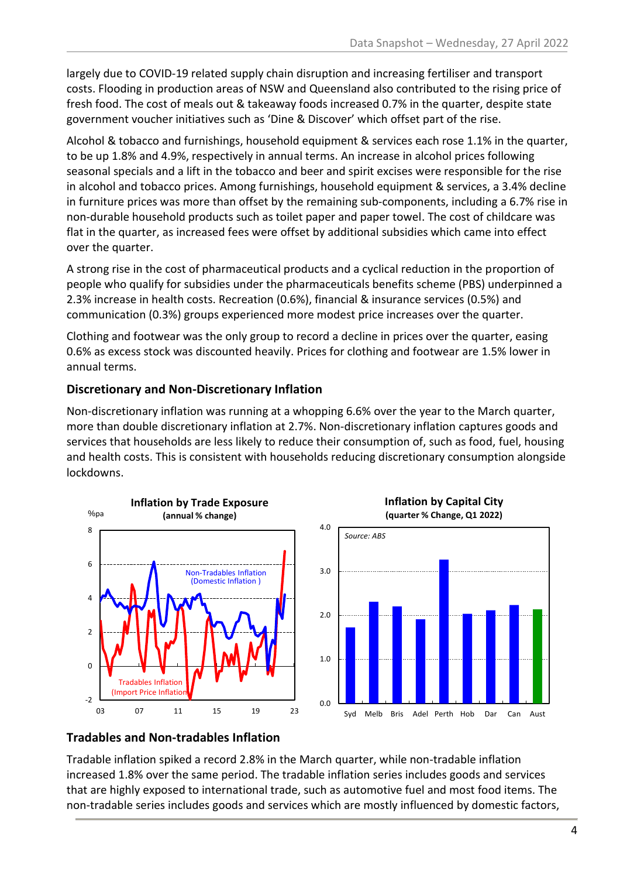largely due to COVID-19 related supply chain disruption and increasing fertiliser and transport costs. Flooding in production areas of NSW and Queensland also contributed to the rising price of fresh food. The cost of meals out & takeaway foods increased 0.7% in the quarter, despite state government voucher initiatives such as 'Dine & Discover' which offset part of the rise.

Alcohol & tobacco and furnishings, household equipment & services each rose 1.1% in the quarter, to be up 1.8% and 4.9%, respectively in annual terms. An increase in alcohol prices following seasonal specials and a lift in the tobacco and beer and spirit excises were responsible for the rise in alcohol and tobacco prices. Among furnishings, household equipment & services, a 3.4% decline in furniture prices was more than offset by the remaining sub-components, including a 6.7% rise in non-durable household products such as toilet paper and paper towel. The cost of childcare was flat in the quarter, as increased fees were offset by additional subsidies which came into effect over the quarter.

A strong rise in the cost of pharmaceutical products and a cyclical reduction in the proportion of people who qualify for subsidies under the pharmaceuticals benefits scheme (PBS) underpinned a 2.3% increase in health costs. Recreation (0.6%), financial & insurance services (0.5%) and communication (0.3%) groups experienced more modest price increases over the quarter.

Clothing and footwear was the only group to record a decline in prices over the quarter, easing 0.6% as excess stock was discounted heavily. Prices for clothing and footwear are 1.5% lower in annual terms.

#### **Discretionary and Non-Discretionary Inflation**

Non-discretionary inflation was running at a whopping 6.6% over the year to the March quarter, more than double discretionary inflation at 2.7%. Non-discretionary inflation captures goods and services that households are less likely to reduce their consumption of, such as food, fuel, housing and health costs. This is consistent with households reducing discretionary consumption alongside lockdowns.



#### **Tradables and Non-tradables Inflation**

Tradable inflation spiked a record 2.8% in the March quarter, while non-tradable inflation increased 1.8% over the same period. The tradable inflation series includes goods and services that are highly exposed to international trade, such as automotive fuel and most food items. The non-tradable series includes goods and services which are mostly influenced by domestic factors,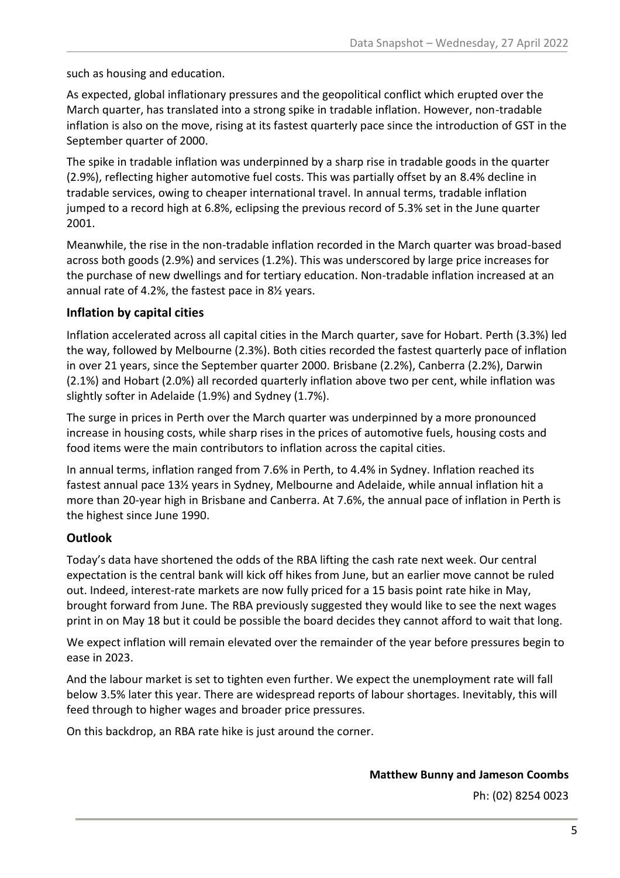such as housing and education.

As expected, global inflationary pressures and the geopolitical conflict which erupted over the March quarter, has translated into a strong spike in tradable inflation. However, non-tradable inflation is also on the move, rising at its fastest quarterly pace since the introduction of GST in the September quarter of 2000.

The spike in tradable inflation was underpinned by a sharp rise in tradable goods in the quarter (2.9%), reflecting higher automotive fuel costs. This was partially offset by an 8.4% decline in tradable services, owing to cheaper international travel. In annual terms, tradable inflation jumped to a record high at 6.8%, eclipsing the previous record of 5.3% set in the June quarter 2001.

Meanwhile, the rise in the non-tradable inflation recorded in the March quarter was broad-based across both goods (2.9%) and services (1.2%). This was underscored by large price increases for the purchase of new dwellings and for tertiary education. Non-tradable inflation increased at an annual rate of 4.2%, the fastest pace in 8½ years.

#### **Inflation by capital cities**

Inflation accelerated across all capital cities in the March quarter, save for Hobart. Perth (3.3%) led the way, followed by Melbourne (2.3%). Both cities recorded the fastest quarterly pace of inflation in over 21 years, since the September quarter 2000. Brisbane (2.2%), Canberra (2.2%), Darwin (2.1%) and Hobart (2.0%) all recorded quarterly inflation above two per cent, while inflation was slightly softer in Adelaide (1.9%) and Sydney (1.7%).

The surge in prices in Perth over the March quarter was underpinned by a more pronounced increase in housing costs, while sharp rises in the prices of automotive fuels, housing costs and food items were the main contributors to inflation across the capital cities.

In annual terms, inflation ranged from 7.6% in Perth, to 4.4% in Sydney. Inflation reached its fastest annual pace 13½ years in Sydney, Melbourne and Adelaide, while annual inflation hit a more than 20-year high in Brisbane and Canberra. At 7.6%, the annual pace of inflation in Perth is the highest since June 1990.

#### **Outlook**

Today's data have shortened the odds of the RBA lifting the cash rate next week. Our central expectation is the central bank will kick off hikes from June, but an earlier move cannot be ruled out. Indeed, interest-rate markets are now fully priced for a 15 basis point rate hike in May, brought forward from June. The RBA previously suggested they would like to see the next wages print in on May 18 but it could be possible the board decides they cannot afford to wait that long.

We expect inflation will remain elevated over the remainder of the year before pressures begin to ease in 2023.

And the labour market is set to tighten even further. We expect the unemployment rate will fall below 3.5% later this year. There are widespread reports of labour shortages. Inevitably, this will feed through to higher wages and broader price pressures.

On this backdrop, an RBA rate hike is just around the corner.

**Matthew Bunny and Jameson Coombs**

Ph: (02) 8254 0023